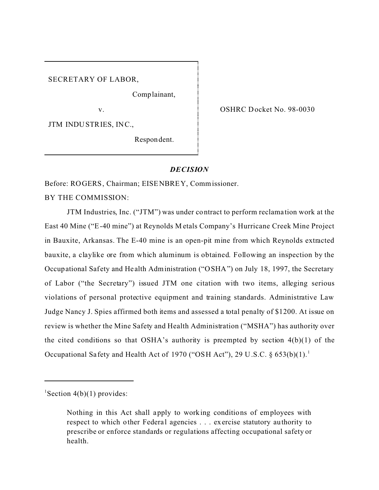SECRETARY OF LABOR,

Comp lainant,

v.

JTM INDU STR IES, IN C.,

Respon dent.

OSHRC Docket No. 98-0030

### *DECISION*

Before: ROGERS, Chairman; EISENBREY, Commissioner.

BY THE COMMISSION:

JTM Industries, Inc. ("JTM") was under contract to perform reclama tion work at the East 40 Mine ("E-40 mine") at Reynolds M etals Company's Hurricane Creek Mine Project in Bauxite, Arkansas. The E-40 mine is an open-pit mine from which Reynolds extracted bauxite, a claylike ore from which aluminum is obtained. Following an inspection by the Occupational Safety and Health Administration ("OSHA") on July 18, 1997, the Secretary of Labor ("the Secretary") issued JTM one citation with two items, alleging serious violations of personal protective equipment and training standards. Administrative Law Judge Nancy J. Spies affirmed both items and assessed a total penalty of \$1200. At issue on review is whether the Mine Safety and Health Administration ("MSHA") has authority over the cited conditions so that OSHA's authority is preempted by section  $4(b)(1)$  of the Occupational Sa fety and Health Act of 1970 ("OSH Act"), 29 U.S.C.  $\S 653(b)(1)$ .<sup>1</sup>

<sup>1</sup>Section  $4(b)(1)$  provides:

Nothing in this Act shall apply to working conditions of employees with respect to which other Federal agencies . . . exercise statutory authority to prescribe or enforce standards or regulations affecting occupational safety or health.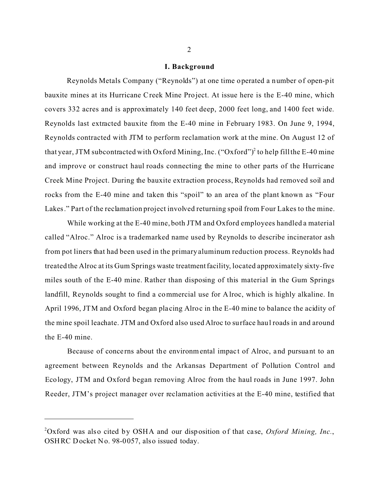#### **I. Background**

Reynolds Metals Company ("Reynolds") at one time operated a number of open-pit bauxite mines at its Hurricane Creek Mine Project. At issue here is the E-40 mine, which covers 332 acres and is approximately 140 feet deep, 2000 feet long, and 1400 feet wide. Reynolds last extracted bauxite from the E-40 mine in February 1983. On June 9, 1994, Reynolds contracted with JTM to perform reclamation work at the mine. On August 12 of that year, JTM subcontracted with Oxford Mining, Inc. ("Oxford")<sup>2</sup> to help fill the E-40 mine and improve or construct haul roads connecting the mine to other parts of the Hurricane Creek Mine Project. During the bauxite extraction process, Reynolds had removed soil and rocks from the E-40 mine and taken this "spoil" to an area of the plant known as "Four Lakes." Part of the reclamation project involved returning spoil from Four Lakes to the mine.

While working at the E-40 mine, both JTM and Oxford employees handled a material called "Alroc." Alroc is a trademarked name used by Reynolds to describe incinerator ash from pot liners that had been used in the primary aluminum reduction process. Reynolds had treated the Alroc at its Gum Springs waste treatmentfacility, located approximately sixty-five miles south of the E-40 mine. Rather than disposing of this material in the Gum Springs landfill, Reynolds sought to find a commercial use for Alroc, which is highly alkaline. In April 1996, JTM and Oxford began pla cing Alroc in the E-40 mine to balance the acidity of the mine spoil leachate. JTM and Oxford also used Alroc to surface haul roads in and around the E-40 mine.

Because of concerns about the environmental impact of Alroc, and pursuant to an agreement between Reynolds and the Arkansas Department of Pollution Control and Ecology, JTM and Oxford began removing Alroc from the haul roads in June 1997. John Reeder, JTM's project manager over reclamation activities at the E-40 mine, testified that

<sup>2</sup> Oxford was also cited by OSHA and our disposition of that case, *Oxford Mining, Inc.*, OSHRC Docket No. 98-0057, also issued today.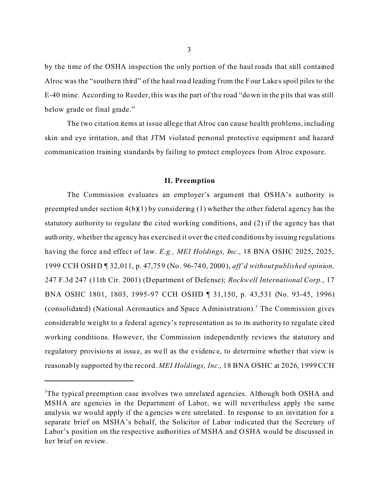by the time of the OSHA inspection the only portion of the haul roads that still contained Alroc was the "southern third" of the haul road leading from the Four Lake s spoil piles to the E-40 mine. According to Reeder, this was the part of the road "down in the pits that was still below grade or final grade."

The two citation items at issue allege that Alroc can cause health problems, including skin and eye irritation, and that JTM violated personal protective equipment and hazard communication training standards by failing to protect employees from Alroc exposure.

#### **II. Preemption**

The Commission evaluates an employer's argument that OSHA's authority is preempted under section 4(b)(1) by considering (1) whether the other federal agency has the statutory authority to regulate the cited working conditions, and (2) if the agency has that authority, whether the agency has exercised it over the cited conditions by issuing regulations having the force and effect of law. *E.g., MEI Holdings, Inc.*, 18 BNA OSHC 2025, 2025, 1999 CCH OSHD ¶ 32,011, p. 47,759 (No. 96-740, 2000), *aff'd without published opinion,*  247 F.3d 247 (11th Cir. 2001) (Department of Defense); *Rockwell International Corp.*, 17 BNA OSHC 1801, 1803, 1995-97 CCH OSHD ¶ 31,150, p. 43,531 (No. 93-45, 1996) (consolidated) (National Aeronautics and Space Administration).<sup>3</sup> The Commission gives considerable weight to a federal agency's representation as to its authority to regulate cited working conditions. However, the Commission independently reviews the statutory and regulatory provisions at issue, as well as the evidence, to determine whether that view is reasonably supported by the record. *MEI Holdings, Inc.*, 18 BNA OSHC at 2026, 1999 CCH

<sup>&</sup>lt;sup>3</sup>The typical preemption case involves two unrelated agencies. Although both OSHA and MSHA are agencies in the Department of Labor, we will nevertheless apply the same analysis we would apply if the agencies were unrelated. In response to an invitation for a separate brief on MSHA's behalf, the Solicitor of Labor indicated that the Secretary of Labor's position on the respective authorities of MSHA and OSHA would be discussed in her brief on review.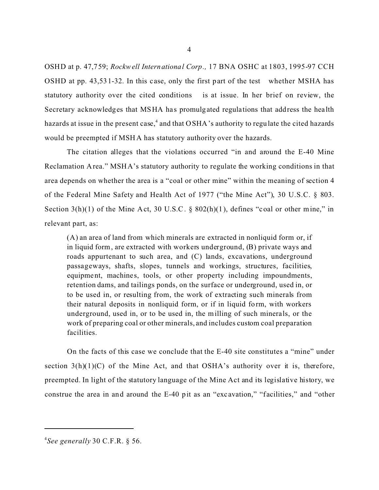OSHD at p. 47,759; *Rockwell International Corp.,* 17 BNA OSHC at 1803, 1995-97 CCH OSHD at pp. 43,531-32. In this case, only the first part of the test whether MSHA has statutory authority over the cited conditions is at issue. In her brief on review, the Secretary acknowledges that MSHA has promulgated regulations that address the health hazards at issue in the present case,<sup>4</sup> and that OSHA's authority to regulate the cited hazards would be preempted if MSHA has statutory authority over the hazards.

The citation alleges that the violations occurred "in and around the E-40 Mine Reclamation Area." MSHA's statutory authority to regulate the working conditions in that area depends on whether the area is a "coal or other mine" within the meaning of section 4 of the Federal Mine Safety and Health Act of 1977 ("the Mine Act"), 30 U.S.C. § 803. Section 3(h)(1) of the Mine Act, 30 U.S.C. § 802(h)(1), defines "coal or other mine," in relevant part, as:

(A) an area of land from which minerals are extracted in nonliquid form or, if in liquid form, are extracted with workers underground, (B) private ways and roads appurtenant to such area, and (C) lands, excavations, underground passageways, shafts, slopes, tunnels and workings, structures, facilities, equipment, machines, tools, or other property including impoundments, retention dams, and tailings ponds, on the surface or underground, used in, or to be used in, or resulting from, the work of extracting such minerals from their natural deposits in nonliquid form, or if in liquid form, with workers underground, used in, or to be used in, the milling of such minerals, or the work of preparing coal or other minerals, and includes custom coal preparation facilities.

On the facts of this case we conclude that the E-40 site constitutes a "mine" under section  $3(h)(1)(C)$  of the Mine Act, and that OSHA's authority over it is, therefore, preempted. In light of the statutory language of the Mine Act and its legislative history, we construe the area in and around the E-40 pit as an "excavation," "facilities," and "other

<sup>4</sup> 

<sup>4</sup> *See generally* 30 C.F.R. § 56.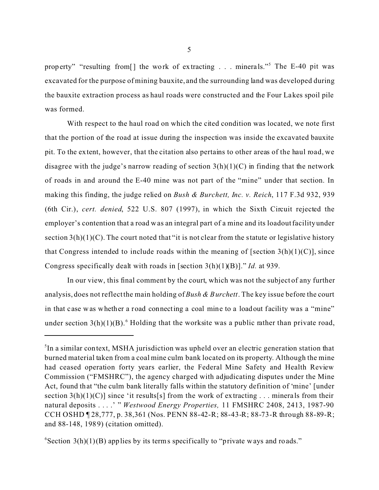property" "resulting from[] the work of extracting . . . minerals."<sup>5</sup> The E-40 pit was excavated for the purpose of mining bauxite, and the surrounding land was developed during the bauxite extraction process as haul roads were constructed and the Four Lakes spoil pile was formed.

With respect to the haul road on which the cited condition was located, we note first that the portion of the road at issue during the inspection was inside the excavated bauxite pit. To the extent, however, that the citation also pertains to other areas of the haul road, we disagree with the judge's narrow reading of section  $3(h)(1)(C)$  in finding that the network of roads in and around the E-40 mine was not part of the "mine" under that section. In making this finding, the judge relied on *Bush & Burchett, Inc. v. Reich*, 117 F.3d 932, 939 (6th Cir.), *cert. denied*, 522 U.S. 807 (1997), in which the Sixth Circuit rejected the employer's contention that a road was an integral part of a mine and its loadout facility under section  $3(h)(1)(C)$ . The court noted that "it is not clear from the statute or legislative history that Congress intended to include roads within the meaning of [section  $3(h)(1)(C)$ ], since Congress specifically dealt with roads in [section 3(h)(1)(B)]." *Id.* at 939.

In our view, this final comment by the court, which was not the subject of any further analysis, does not reflect the main holding of *Bush & Burchett*. The key issue before the court in that case was whether a road connecting a coal mine to a loadout facility was a "mine" under section  $3(h)(1)(B)$ .<sup>6</sup> Holding that the worksite was a public rather than private road,

<sup>&</sup>lt;sup>5</sup>In a similar context, MSHA jurisdiction was upheld over an electric generation station that burned material taken from a coal mine culm bank located on its property. Although the mine had ceased operation forty years earlier, the Federal Mine Safety and Health Review Commission ("FMSHRC"), the agency charged with adjudicating disputes under the Mine Act, found that "the culm bank literally falls within the statutory definition of 'mine' [under section  $3(h)(1)(C)$ ] since 'it results[s] from the work of extracting . . . minerals from their natural deposits . . . .' " *Westwood Energy Properties,* 11 FMSHRC 2408, 2413, 1987-90 CCH OSHD ¶ 28,777, p. 38,361 (Nos. PENN 88-42-R; 88-43-R; 88-73-R through 88-89-R; and 88-148, 1989) (citation omitted).

 $6$ Section 3(h)(1)(B) applies by its terms specifically to "private ways and roads."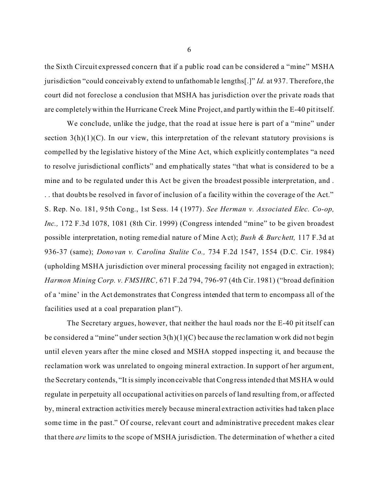the Sixth Circuit expressed concern that if a public road can be considered a "mine" MSHA jurisdiction "could conceivably extend to unfathomable lengths[.]" *Id.* at 937. Therefore, the court did not foreclose a conclusion that MSHA has jurisdiction over the private roads that are completely within the Hurricane Creek Mine Project, and partly within the E-40 pit itself.

We conclude, unlike the judge, that the road at issue here is part of a "mine" under section  $3(h)(1)(C)$ . In our view, this interpretation of the relevant statutory provisions is compelled by the legislative history of the Mine Act, which explicitly contemplates "a need to resolve jurisdictional conflicts" and emphatically states "that what is considered to be a mine and to be regula ted under this Act be given the broadest possible interpretation, and . . . that doubts be resolved in favor of inclusion of a facility within the coverage of the Act." S. Rep. No. 181, 95th Cong., 1st Sess. 14 (1977). *See Herman v. Associated Elec. Co-op, Inc.,* 172 F.3d 1078, 1081 (8th Cir. 1999) (Congress intended "mine" to be given broadest possible interpretation, noting remedial nature of Mine Act); *Bush & Burchett,* 117 F.3d at 936-37 (same); *Donovan v. Carolina Stalite Co.,* 734 F.2d 1547, 1554 (D.C. Cir. 1984) (upholding MSHA jurisdiction over mineral processing facility not engaged in extraction); *Harmon Mining Corp. v. FMSHRC,* 671 F.2d 794, 796-97 (4th Cir. 1981) ("broad definition of a 'mine' in the Act demonstrates that Congress intended that term to encompass all of the facilities used at a coal preparation plant").

The Secretary argues, however, that neither the haul roads nor the E-40 pit itself can be considered a "mine" under section  $3(h)(1)(C)$  because the reclamation work did not begin until eleven years after the mine closed and MSHA stopped inspecting it, and because the reclamation work was unrelated to ongoing mineral extraction. In support of her argument, the Secretary contends, "It is simply inconceivable that Congress intended that MSHA would regulate in perpetuity all occupational activities on parcels of land resulting from, or affected by, mineral extraction activities merely because mineral extraction activities had taken place some time in the past." Of course, relevant court and administrative precedent makes clear that there *are* limits to the scope of MSHA jurisdiction. The determination of whether a cited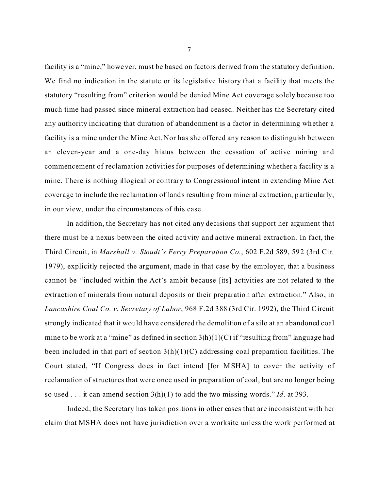facility is a "mine," however, must be based on factors derived from the statutory definition. We find no indication in the statute or its legislative history that a facility that meets the statutory "resulting from" criterion would be denied Mine Act coverage solely because too much time had passed since mineral extraction had ceased. Neither has the Secretary cited any authority indicating that duration of abandonment is a factor in determining whether a facility is a mine under the Mine Act. Nor has she offered any reason to distinguish between an eleven-year and a one-day hiatus between the cessation of active mining and commencement of reclamation activities for purposes of determining whether a facility is a mine. There is nothing illogical or contrary to Congressional intent in extending Mine Act coverage to include the reclamation of lands resulting from mineral extraction, particularly, in our view, under the circumstances of this case.

In addition, the Secretary has not cited any decisions that support her argument that there must be a nexus between the cited activity and active mineral extraction. In fact, the Third Circuit, in *Marshall v. Stoudt's Ferry Preparation Co.*, 602 F.2d 589, 592 (3rd Cir. 1979), explicitly rejected the argument, made in that case by the employer, that a business cannot be "included within the Act's ambit because [its] activities are not related to the extraction of minerals from natural deposits or their preparation after extraction." Also, in *Lancashire Coal Co. v. Secretary of Labor*, 968 F.2d 388 (3rd Cir. 1992), the Third Circuit strongly indicated that it would have considered the demolition of a silo at an abandoned coal mine to be work at a "mine" as defined in section  $3(h)(1)(C)$  if "resulting from" language had been included in that part of section  $3(h)(1)(C)$  addressing coal preparation facilities. The Court stated, "If Congress does in fact intend [for MSHA] to cover the activity of reclamation of structures that were once used in preparation of coal, but are no longer being so used . . . it can amend section 3(h)(1) to add the two missing words." *Id*. at 393.

Indeed, the Secretary has taken positions in other cases that are inconsistent with her claim that MSHA does not have jurisdiction over a worksite unless the work performed at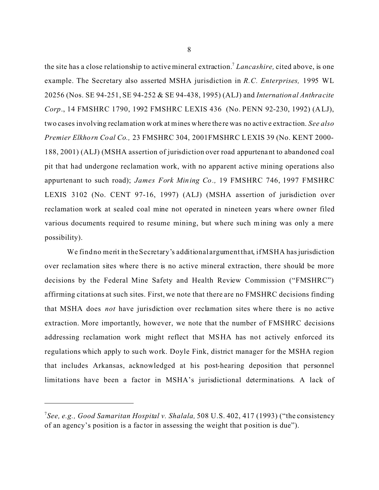the site has a close relationship to active mineral extraction.7 *Lancashire,* cited above, is one example. The Secretary also asserted MSHA jurisdiction in *R.C. Enterprises,* 1995 WL 20256 (Nos. SE 94-251, SE 94-252 & SE 94-438, 1995) (ALJ) and *International Anthracite Corp*., 14 FMSHRC 1790, 1992 FMSHRC LEXIS 436 (No. PENN 92-230, 1992) (ALJ), two cases involving reclamation work at mines where the re was no active extrac tion. *See also Premier Elkhorn Coal Co.,* 23 FMSHRC 304, 2001FMSHRC L EXIS 39 (No. KENT 2000- 188, 2001) (ALJ) (MSHA assertion of jurisdiction over road appurtenant to abandoned coal pit that had undergone reclamation work, with no apparent active mining operations also appurtenant to such road); *James Fork Mining Co.,* 19 FMSHRC 746, 1997 FMSHRC LEXIS 3102 (No. CENT 97-16, 1997) (ALJ) (MSHA assertion of jurisdiction over reclamation work at sealed coal mine not operated in nineteen years where owner filed various documents required to resume mining, but where such m ining was only a mere possibility).

We find no merit in the Secretary's additional argument that, if MSHA has jurisdiction over reclamation sites where there is no active mineral extraction, there should be more decisions by the Federal Mine Safety and Health Review Commission ("FMSHRC") affirming citations at such sites. First, we note that there are no FMSHRC decisions finding that MSHA does *not* have jurisdiction over reclamation sites where there is no active extraction. More importantly, however, we note that the number of FMSHRC decisions addressing reclamation work might reflect that MSHA has not actively enforced its regulations which apply to such work. Doyle Fink, district manager for the MSHA region that includes Arkansas, acknowledged at his post-hearing deposition that personnel limitations have been a factor in MSHA's jurisdictional determinations. A lack of

<sup>7</sup> *See, e.g., Good Samaritan Hospital v. Shalala,* 508 U.S. 402, 417 (1993) ("the consistency of an agency's position is a fac tor in assessing the weight that position is due").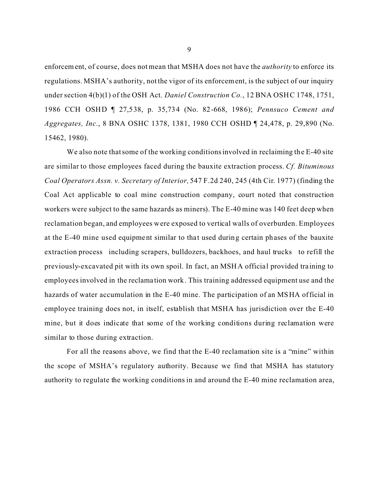enforcement, of course, does not mean that MSHA does not have the *authority* to enforce its regulations. MSHA's authority, not the vigor of its enforcement, is the subject of our inquiry under section 4(b)(1) of the OSH Act. *Daniel Construction Co.*, 12 BNA OSHC 1748, 1751, 1986 CCH OSHD ¶ 27,538, p. 35,734 (No. 82-668, 1986); *Pennsuco Cement and Aggregates, Inc.*, 8 BNA OSHC 1378, 1381, 1980 CCH OSHD ¶ 24,478, p. 29,890 (No. 15462, 1980).

We also note that some of the working conditions involved in reclaiming the E-40 site are similar to those employees faced during the bauxite extraction process. *Cf. Bituminous Coal Operators Assn. v. Secretary of Interior,* 547 F.2d 240, 245 (4th Cir. 1977) (finding the Coal Act applicable to coal mine construction company, court noted that construction workers were subject to the same hazards as miners). The E-40 mine was 140 feet deep when reclamation began, and employees were exposed to vertical walls of overburden. Employees at the E-40 mine used equipment similar to that used during certain phases of the bauxite extraction process including scrapers, bulldozers, backhoes, and haul trucks to refill the previously-excavated pit with its own spoil. In fact, an MSHA official provided training to employees involved in the reclama tion work. This training addressed equipment use and the hazards of water accumulation in the E-40 mine. The participation of an MSHA official in employee training does not, in itself, establish that MSHA has jurisdiction over the E-40 mine, but it does indicate that some of the working conditions during reclamation were similar to those during extraction.

For all the reasons above, we find that the E-40 reclamation site is a "mine" within the scope of MSHA's regulatory authority. Because we find that MSHA has statutory authority to regulate the working conditions in and around the E-40 mine reclamation area,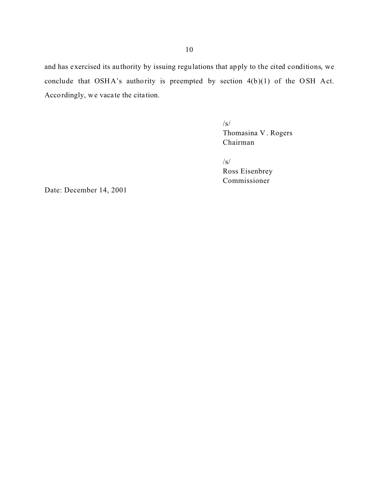and has exercised its authority by issuing regulations that apply to the cited conditions, we conclude that OSHA's authority is preempted by section 4(b)(1) of the OSH Act. Accordingly, we vacate the cita tion.

> /s/ Thomasina V . Rogers Chairman

/s/ Ross Eisenbrey Commissioner

Date: December 14, 2001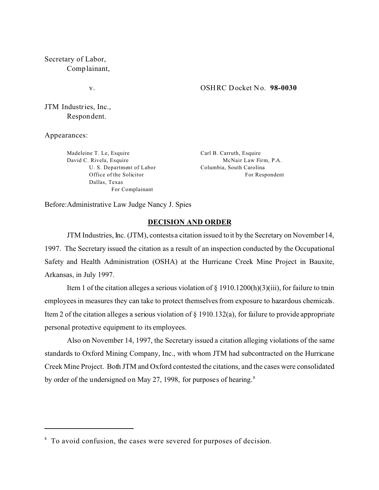Secretary of Labor, Complainant,

v.

### OSHRC Docket No. **98-0030**

JTM Industries, Inc., Respondent.

Appearances:

Madeleine T. Le, Esquire David C. Rivela, Esquire U. S. Department of Labor Office of the Solicitor Dallas, Texas For Complainant

Carl B. Carruth, Esquire McNair Law Firm, P.A. Columbia, South Carolina For Respondent

Before:Administrative Law Judge Nancy J. Spies

### **DECISION AND ORDER**

JTM Industries, Inc. (JTM), contests a citation issued to it by the Secretary on November 14, 1997. The Secretary issued the citation as a result of an inspection conducted by the Occupational Safety and Health Administration (OSHA) at the Hurricane Creek Mine Project in Bauxite, Arkansas, in July 1997.

Item 1 of the citation alleges a serious violation of  $\S$  1910.1200(h)(3)(iii), for failure to train employees in measures they can take to protect themselves from exposure to hazardous chemicals. Item 2 of the citation alleges a serious violation of § 1910.132(a), for failure to provide appropriate personal protective equipment to its employees.

Also on November 14, 1997, the Secretary issued a citation alleging violations of the same standards to Oxford Mining Company, Inc., with whom JTM had subcontracted on the Hurricane Creek Mine Project. Both JTM and Oxford contested the citations, and the cases were consolidated by order of the undersigned on May 27, 1998, for purposes of hearing. <sup>8</sup>

<sup>&</sup>lt;sup>8</sup> To avoid confusion, the cases were severed for purposes of decision.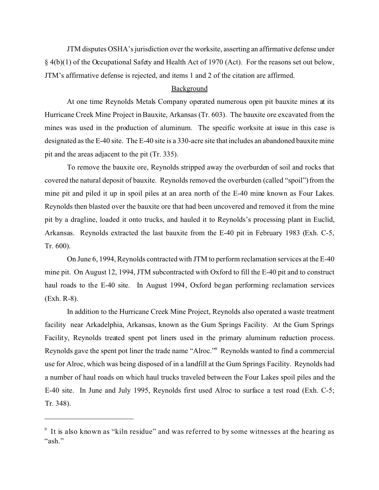JTM disputes OSHA's jurisdiction over the worksite, asserting an affirmative defense under § 4(b)(1) of the Occupational Safety and Health Act of 1970 (Act). For the reasons set out below, JTM's affirmative defense is rejected, and items 1 and 2 of the citation are affirmed.

### **Background**

At one time Reynolds Metals Company operated numerous open pit bauxite mines at its Hurricane Creek Mine Project in Bauxite, Arkansas (Tr. 603). The bauxite ore excavated from the mines was used in the production of aluminum. The specific worksite at issue in this case is designated as the E-40 site. The E-40 site is a 330-acre site that includes an abandoned bauxite mine pit and the areas adjacent to the pit (Tr. 335).

To remove the bauxite ore, Reynolds stripped away the overburden of soil and rocks that covered the natural deposit of bauxite. Reynolds removed the overburden (called "spoil") from the mine pit and piled it up in spoil piles at an area north of the E-40 mine known as Four Lakes. Reynolds then blasted over the bauxite ore that had been uncovered and removed it from the mine pit by a dragline, loaded it onto trucks, and hauled it to Reynolds's processing plant in Euclid, Arkansas. Reynolds extracted the last bauxite from the E-40 pit in February 1983 (Exh. C-5, Tr. 600).

On June 6, 1994, Reynolds contracted with JTM to perform reclamation services at the E-40 mine pit. On August 12, 1994, JTM subcontracted with Oxford to fill the E-40 pit and to construct haul roads to the E-40 site. In August 1994, Oxford began performing reclamation services (Exh. R-8).

In addition to the Hurricane Creek Mine Project, Reynolds also operated a waste treatment facility near Arkadelphia, Arkansas, known as the Gum Springs Facility. At the Gum Springs Facility, Reynolds treated spent pot liners used in the primary aluminum reduction process. Reynolds gave the spent pot liner the trade name "Alroc."9 Reynolds wanted to find a commercial use for Alroc, which was being disposed of in a landfill at the Gum Springs Facility. Reynolds had a number of haul roads on which haul trucks traveled between the Four Lakes spoil piles and the E-40 site. In June and July 1995, Reynolds first used Alroc to surface a test road (Exh. C-5; Tr. 348).

<sup>9</sup> It is also known as "kiln residue" and was referred to by some witnesses at the hearing as "ash."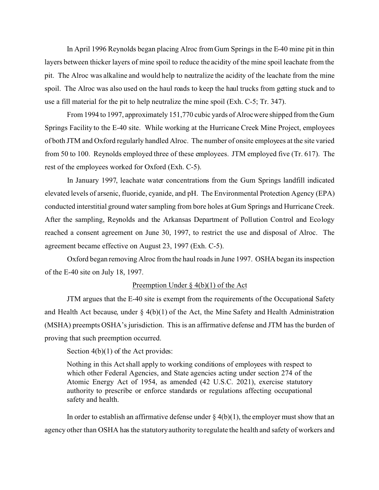In April 1996 Reynolds began placing Alroc from Gum Springs in the E-40 mine pit in thin layers between thicker layers of mine spoil to reduce the acidity of the mine spoil leachate from the pit. The Alroc was alkaline and would help to neutralize the acidity of the leachate from the mine spoil. The Alroc was also used on the haul roads to keep the haul trucks from getting stuck and to use a fill material for the pit to help neutralize the mine spoil (Exh. C-5; Tr. 347).

From 1994 to 1997, approximately 151,770 cubic yards of Alrocwere shipped from the Gum Springs Facility to the E-40 site. While working at the Hurricane Creek Mine Project, employees of both JTM and Oxford regularly handled Alroc. The number of onsite employees at the site varied from 50 to 100. Reynolds employed three of these employees. JTM employed five (Tr. 617). The rest of the employees worked for Oxford (Exh. C-5).

In January 1997, leachate water concentrations from the Gum Springs landfill indicated elevated levels of arsenic, fluoride, cyanide, and pH. The Environmental Protection Agency (EPA) conducted interstitial ground water sampling from bore holes at Gum Springs and Hurricane Creek. After the sampling, Reynolds and the Arkansas Department of Pollution Control and Ecology reached a consent agreement on June 30, 1997, to restrict the use and disposal of Alroc. The agreement became effective on August 23, 1997 (Exh. C-5).

Oxford began removing Alroc from the haul roads in June 1997. OSHA began its inspection of the E-40 site on July 18, 1997.

## Preemption Under § 4(b)(1) of the Act

JTM argues that the E-40 site is exempt from the requirements of the Occupational Safety and Health Act because, under  $\S$  4(b)(1) of the Act, the Mine Safety and Health Administration (MSHA) preempts OSHA's jurisdiction. This is an affirmative defense and JTM has the burden of proving that such preemption occurred.

Section  $4(b)(1)$  of the Act provides:

Nothing in this Act shall apply to working conditions of employees with respect to which other Federal Agencies, and State agencies acting under section 274 of the Atomic Energy Act of 1954, as amended (42 U.S.C. 2021), exercise statutory authority to prescribe or enforce standards or regulations affecting occupational safety and health.

In order to establish an affirmative defense under  $\S 4(b)(1)$ , the employer must show that an agency other than OSHA has the statutory authority to regulate the health and safety of workers and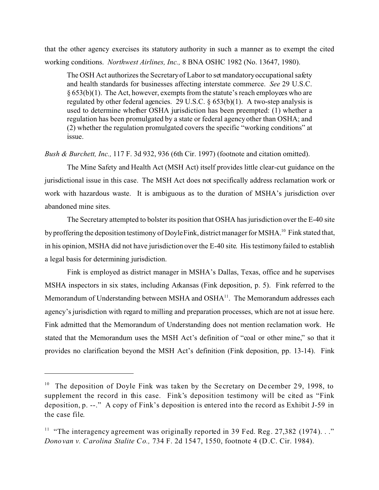that the other agency exercises its statutory authority in such a manner as to exempt the cited working conditions. *Northwest Airlines, Inc.,* 8 BNA OSHC 1982 (No. 13647, 1980).

The OSH Act authorizes the Secretaryof Labor to set mandatory occupational safety and health standards for businesses affecting interstate commerce. *See* 29 U.S.C.  $§ 653(b)(1)$ . The Act, however, exempts from the statute's reach employees who are regulated by other federal agencies. 29 U.S.C.  $\S$  653(b)(1). A two-step analysis is used to determine whether OSHA jurisdiction has been preempted: (1) whether a regulation has been promulgated by a state or federal agency other than OSHA; and (2) whether the regulation promulgated covers the specific "working conditions" at issue.

*Bush & Burchett, Inc.,* 117 F. 3d 932, 936 (6th Cir. 1997) (footnote and citation omitted).

The Mine Safety and Health Act (MSH Act) itself provides little clear-cut guidance on the jurisdictional issue in this case. The MSH Act does not specifically address reclamation work or work with hazardous waste. It is ambiguous as to the duration of MSHA's jurisdiction over abandoned mine sites.

The Secretary attempted to bolster its position that OSHA has jurisdiction over the E-40 site by proffering the deposition testimony of DoyleFink, district manager for MSHA.<sup>10</sup> Fink stated that, in his opinion, MSHA did not have jurisdiction over the E-40 site. His testimony failed to establish a legal basis for determining jurisdiction.

Fink is employed as district manager in MSHA's Dallas, Texas, office and he supervises MSHA inspectors in six states, including Arkansas (Fink deposition, p. 5). Fink referred to the Memorandum of Understanding between MSHA and OSHA<sup>11</sup>. The Memorandum addresses each agency's jurisdiction with regard to milling and preparation processes, which are not at issue here. Fink admitted that the Memorandum of Understanding does not mention reclamation work. He stated that the Memorandum uses the MSH Act's definition of "coal or other mine," so that it provides no clarification beyond the MSH Act's definition (Fink deposition, pp. 13-14). Fink

<sup>&</sup>lt;sup>10</sup> The deposition of Doyle Fink was taken by the Secretary on December 29, 1998, to supplement the record in this case. Fink's deposition testimony will be cited as "Fink deposition, p. --." A copy of Fink's deposition is entered into the record as Exhibit J-59 in the case file.

<sup>&</sup>lt;sup>11</sup> "The interagency agreement was originally reported in 39 Fed. Reg. 27,382 (1974). . ." *Donovan v. Carolina Stalite Co.,* 734 F. 2d 1547, 1550, footnote 4 (D.C. Cir. 1984).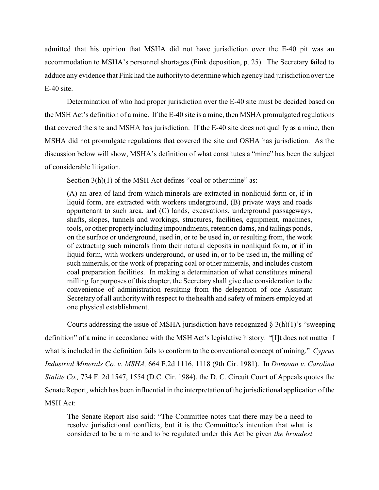admitted that his opinion that MSHA did not have jurisdiction over the E-40 pit was an accommodation to MSHA's personnel shortages (Fink deposition, p. 25). The Secretary failed to adduce any evidence that Fink had the authority to determine which agency had jurisdiction over the E-40 site.

Determination of who had proper jurisdiction over the E-40 site must be decided based on the MSH Act's definition of a mine. If the E-40 site is a mine, then MSHA promulgated regulations that covered the site and MSHA has jurisdiction. If the E-40 site does not qualify as a mine, then MSHA did not promulgate regulations that covered the site and OSHA has jurisdiction. As the discussion below will show, MSHA's definition of what constitutes a "mine" has been the subject of considerable litigation.

Section 3(h)(1) of the MSH Act defines "coal or other mine" as:

(A) an area of land from which minerals are extracted in nonliquid form or, if in liquid form, are extracted with workers underground, (B) private ways and roads appurtenant to such area, and (C) lands, excavations, underground passageways, shafts, slopes, tunnels and workings, structures, facilities, equipment, machines, tools, or other property including impoundments, retention dams, and tailings ponds, on the surface or underground, used in, or to be used in, or resulting from, the work of extracting such minerals from their natural deposits in nonliquid form, or if in liquid form, with workers underground, or used in, or to be used in, the milling of such minerals, or the work of preparing coal or other minerals, and includes custom coal preparation facilities. In making a determination of what constitutes mineral milling for purposes of this chapter, the Secretary shall give due consideration to the convenience of administration resulting from the delegation of one Assistant Secretary of all authority with respect to the health and safety of miners employed at one physical establishment.

Courts addressing the issue of MSHA jurisdiction have recognized  $\S 3(h)(1)$ 's "sweeping definition" of a mine in accordance with the MSH Act's legislative history. "[I]t does not matter if what is included in the definition fails to conform to the conventional concept of mining." *Cyprus Industrial Minerals Co. v. MSHA,* 664 F.2d 1116, 1118 (9th Cir. 1981). In *Donovan v. Carolina Stalite Co.,* 734 F. 2d 1547, 1554 (D.C. Cir. 1984), the D. C. Circuit Court of Appeals quotes the Senate Report, which has been influential in the interpretation of the jurisdictional application of the MSH Act:

The Senate Report also said: "The Committee notes that there may be a need to resolve jurisdictional conflicts, but it is the Committee's intention that what is considered to be a mine and to be regulated under this Act be given *the broadest*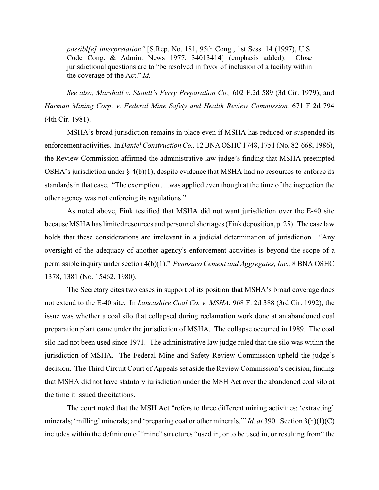*possibl[e] interpretation"* [S.Rep. No. 181, 95th Cong., 1st Sess. 14 (1997), U.S. Code Cong. & Admin. News 1977, 34013414] (emphasis added). Close jurisdictional questions are to "be resolved in favor of inclusion of a facility within the coverage of the Act." *Id.* 

*See also, Marshall v. Stoudt's Ferry Preparation Co.,* 602 F.2d 589 (3d Cir. 1979), and *Harman Mining Corp. v. Federal Mine Safety and Health Review Commission,* 671 F 2d 794 (4th Cir. 1981).

MSHA's broad jurisdiction remains in place even if MSHA has reduced or suspended its enforcement activities. In *Daniel Construction Co.,* 12 BNA OSHC 1748, 1751 (No. 82-668, 1986), the Review Commission affirmed the administrative law judge's finding that MSHA preempted OSHA's jurisdiction under  $\S 4(b)(1)$ , despite evidence that MSHA had no resources to enforce its standards in that case. "The exemption . . .was applied even though at the time of the inspection the other agency was not enforcing its regulations."

As noted above, Fink testified that MSHA did not want jurisdiction over the E-40 site because MSHA has limited resources and personnel shortages (Fink deposition, p. 25). The case law holds that these considerations are irrelevant in a judicial determination of jurisdiction. "Any oversight of the adequacy of another agency's enforcement activities is beyond the scope of a permissible inquiry under section 4(b)(1)." *Pennsuco Cement and Aggregates, Inc.,* 8 BNA OSHC 1378, 1381 (No. 15462, 1980).

The Secretary cites two cases in support of its position that MSHA's broad coverage does not extend to the E-40 site. In *Lancashire Coal Co. v. MSHA*, 968 F. 2d 388 (3rd Cir. 1992), the issue was whether a coal silo that collapsed during reclamation work done at an abandoned coal preparation plant came under the jurisdiction of MSHA. The collapse occurred in 1989. The coal silo had not been used since 1971. The administrative law judge ruled that the silo was within the jurisdiction of MSHA. The Federal Mine and Safety Review Commission upheld the judge's decision. The Third Circuit Court of Appeals set aside the Review Commission's decision, finding that MSHA did not have statutory jurisdiction under the MSH Act over the abandoned coal silo at the time it issued the citations.

The court noted that the MSH Act "refers to three different mining activities: 'extracting' minerals; 'milling' minerals; and 'preparing coal or other minerals.'" *Id. at* 390. Section 3(h)(1)(C) includes within the definition of "mine" structures "used in, or to be used in, or resulting from" the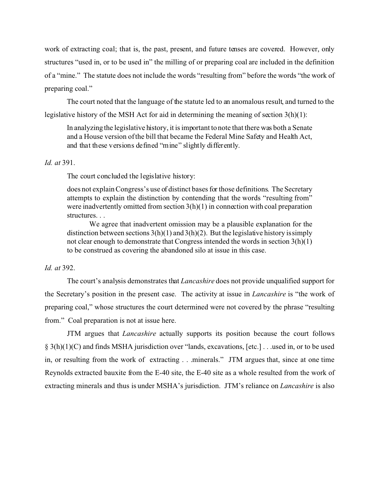work of extracting coal; that is, the past, present, and future tenses are covered. However, only structures "used in, or to be used in" the milling of or preparing coal are included in the definition of a "mine." The statute does not include the words "resulting from" before the words "the work of preparing coal."

The court noted that the language of the statute led to an anomalous result, and turned to the legislative history of the MSH Act for aid in determining the meaning of section 3(h)(1):

In analyzing the legislative history, it is important to note that there was both a Senate and a House version of the bill that became the Federal Mine Safety and Health Act, and that these versions defined "mine" slightly differently.

## *Id. at* 391.

The court concluded the legislative history:

does not explain Congress's use of distinct bases for those definitions. The Secretary attempts to explain the distinction by contending that the words "resulting from" were inadvertently omitted from section  $3(h)(1)$  in connection with coal preparation structures. . .

We agree that inadvertent omission may be a plausible explanation for the distinction between sections  $3(h)(1)$  and  $3(h)(2)$ . But the legislative history is simply not clear enough to demonstrate that Congress intended the words in section 3(h)(1) to be construed as covering the abandoned silo at issue in this case.

## *Id. at* 392.

The court's analysis demonstrates that *Lancashire* does not provide unqualified support for the Secretary's position in the present case. The activity at issue in *Lancashire* is "the work of preparing coal," whose structures the court determined were not covered by the phrase "resulting from." Coal preparation is not at issue here.

JTM argues that *Lancashire* actually supports its position because the court follows § 3(h)(1)(C) and finds MSHA jurisdiction over "lands, excavations, [etc.] . . .used in, or to be used in, or resulting from the work of extracting . . .minerals." JTM argues that, since at one time Reynolds extracted bauxite from the E-40 site, the E-40 site as a whole resulted from the work of extracting minerals and thus is under MSHA's jurisdiction. JTM's reliance on *Lancashire* is also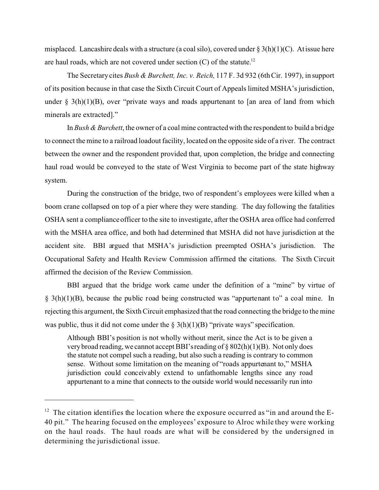misplaced. Lancashire deals with a structure (a coal silo), covered under  $\S 3(h)(1)(C)$ . At issue here are haul roads, which are not covered under section  $(C)$  of the statute.<sup>12</sup>

The Secretary cites *Bush & Burchett, Inc. v. Reich,* 117 F. 3d 932 (6th Cir. 1997), in support of its position because in that case the Sixth Circuit Court of Appeals limited MSHA's jurisdiction, under  $\S$  3(h)(1)(B), over "private ways and roads appurtenant to [an area of land from which minerals are extracted]."

In *Bush & Burchett*, the owner of a coal mine contracted with the respondent to build a bridge to connect the mine to a railroad loadout facility, located on the opposite side of a river. The contract between the owner and the respondent provided that, upon completion, the bridge and connecting haul road would be conveyed to the state of West Virginia to become part of the state highway system.

During the construction of the bridge, two of respondent's employees were killed when a boom crane collapsed on top of a pier where they were standing. The day following the fatalities OSHA sent a compliance officer to the site to investigate, after the OSHA area office had conferred with the MSHA area office, and both had determined that MSHA did not have jurisdiction at the accident site. BBI argued that MSHA's jurisdiction preempted OSHA's jurisdiction. The Occupational Safety and Health Review Commission affirmed the citations. The Sixth Circuit affirmed the decision of the Review Commission.

BBI argued that the bridge work came under the definition of a "mine" by virtue of  $\S$  3(h)(1)(B), because the public road being constructed was "appurtenant to" a coal mine. In rejecting this argument, the Sixth Circuit emphasized that the road connecting the bridge to the mine was public, thus it did not come under the  $\S(3(h)(1)(B)$  "private ways" specification.

Although BBI's position is not wholly without merit, since the Act is to be given a very broad reading, we cannot accept BBI's reading of § 802(h)(1)(B). Not only does the statute not compel such a reading, but also such a reading is contrary to common sense. Without some limitation on the meaning of "roads appurtenant to," MSHA jurisdiction could conceivably extend to unfathomable lengths since any road appurtenant to a mine that connects to the outside world would necessarily run into

 $12$  The citation identifies the location where the exposure occurred as "in and around the E-40 pit." The hearing focused on the employees' exposure to Alroc while they were working on the haul roads. The haul roads are what will be considered by the undersigned in determining the jurisdictional issue.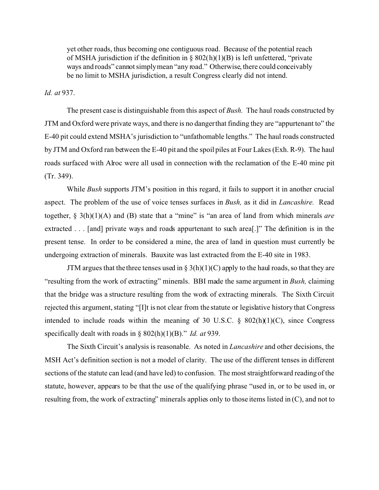yet other roads, thus becoming one contiguous road. Because of the potential reach of MSHA jurisdiction if the definition in § 802(h)(1)(B) is left unfettered, "private ways and roads" cannot simplymean "any road." Otherwise, there could conceivably be no limit to MSHA jurisdiction, a result Congress clearly did not intend.

## *Id. at* 937.

The present case is distinguishable from this aspect of *Bush.* The haul roads constructed by JTM and Oxford were private ways, and there is no danger that finding they are "appurtenant to" the E-40 pit could extend MSHA's jurisdiction to "unfathomable lengths." The haul roads constructed by JTM and Oxford ran between the E-40 pit and the spoil piles at Four Lakes (Exh. R-9). The haul roads surfaced with Alroc were all used in connection with the reclamation of the E-40 mine pit (Tr. 349).

While *Bush* supports JTM's position in this regard, it fails to support it in another crucial aspect. The problem of the use of voice tenses surfaces in *Bush,* as it did in *Lancashire.* Read together, § 3(h)(1)(A) and (B) state that a "mine" is "an area of land from which minerals *are*  extracted . . . [and] private ways and roads appurtenant to such area[.]" The definition is in the present tense. In order to be considered a mine, the area of land in question must currently be undergoing extraction of minerals. Bauxite was last extracted from the E-40 site in 1983.

JTM argues that the three tenses used in §  $3(h)(1)(C)$  apply to the haul roads, so that they are "resulting from the work of extracting" minerals. BBI made the same argument in *Bush,* claiming that the bridge was a structure resulting from the work of extracting minerals. The Sixth Circuit rejected this argument, stating "[I]t is not clear from the statute or legislative history that Congress intended to include roads within the meaning of 30 U.S.C.  $\S$  802(h)(1)(C), since Congress specifically dealt with roads in § 802(h)(1)(B)." *Id. at* 939.

The Sixth Circuit's analysis is reasonable. As noted in *Lancashire* and other decisions, the MSH Act's definition section is not a model of clarity. The use of the different tenses in different sections of the statute can lead (and have led) to confusion. The most straightforward reading of the statute, however, appears to be that the use of the qualifying phrase "used in, or to be used in, or resulting from, the work of extracting" minerals applies only to those items listed in  $(C)$ , and not to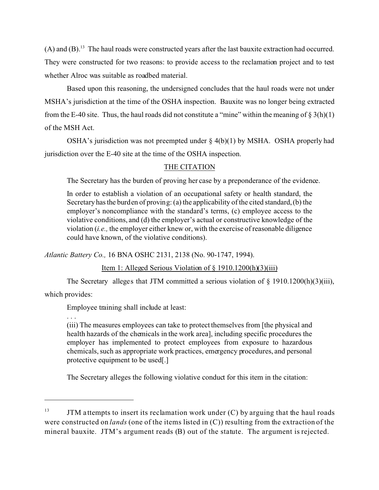$(A)$  and  $(B)$ .<sup>13</sup> The haul roads were constructed years after the last bauxite extraction had occurred. They were constructed for two reasons: to provide access to the reclamation project and to test whether Alroc was suitable as roadbed material.

Based upon this reasoning, the undersigned concludes that the haul roads were not under MSHA's jurisdiction at the time of the OSHA inspection. Bauxite was no longer being extracted from the E-40 site. Thus, the haul roads did not constitute a "mine" within the meaning of  $\S 3(h)(1)$ of the MSH Act.

OSHA's jurisdiction was not preempted under  $\S$  4(b)(1) by MSHA. OSHA properly had jurisdiction over the E-40 site at the time of the OSHA inspection.

# THE CITATION

The Secretary has the burden of proving her case by a preponderance of the evidence.

In order to establish a violation of an occupational safety or health standard, the Secretary has the burden of proving: (a) the applicability of the cited standard, (b) the employer's noncompliance with the standard's terms, (c) employee access to the violative conditions, and (d) the employer's actual or constructive knowledge of the violation (*i.e.,* the employer either knew or, with the exercise of reasonable diligence could have known, of the violative conditions).

*Atlantic Battery Co.,* 16 BNA OSHC 2131, 2138 (No. 90-1747, 1994).

Item 1: Alleged Serious Violation of § 1910.1200(h)(3)(iii)

The Secretary alleges that JTM committed a serious violation of § 1910.1200(h)(3)(iii),

which provides:

Employee training shall include at least:

. . .

(iii) The measures employees can take to protect themselves from [the physical and health hazards of the chemicals in the work area], including specific procedures the employer has implemented to protect employees from exposure to hazardous chemicals, such as appropriate work practices, emergency procedures, and personal protective equipment to be used[.]

The Secretary alleges the following violative conduct for this item in the citation:

 $13$  JTM attempts to insert its reclamation work under (C) by arguing that the haul roads were constructed on *lands* (one of the items listed in (C)) resulting from the extraction of the mineral bauxite. JTM's argument reads (B) out of the statute. The argument is rejected.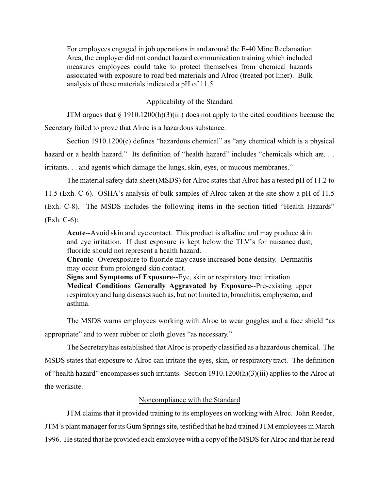For employees engaged in job operations in and around the E-40 Mine Reclamation Area, the employer did not conduct hazard communication training which included measures employees could take to protect themselves from chemical hazards associated with exposure to road bed materials and Alroc (treated pot liner). Bulk analysis of these materials indicated a pH of 11.5.

## Applicability of the Standard

JTM argues that  $\S 1910.1200(h)(3)(iii)$  does not apply to the cited conditions because the Secretary failed to prove that Alroc is a hazardous substance.

Section 1910.1200(c) defines "hazardous chemical" as "any chemical which is a physical hazard or a health hazard." Its definition of "health hazard" includes "chemicals which are... irritants. . . and agents which damage the lungs, skin, eyes, or mucous membranes."

The material safety data sheet (MSDS) for Alroc states that Alroc has a tested pH of 11.2 to 11.5 (Exh. C-6). OSHA's analysis of bulk samples of Alroc taken at the site show a pH of 11.5

(Exh. C-8). The MSDS includes the following items in the section titled "Health Hazards" (Exh. C-6):

**Acute**--Avoid skin and eye contact. This product is alkaline and may produce skin and eye irritation. If dust exposure is kept below the TLV's for nuisance dust, fluoride should not represent a health hazard.

**Chronic**--Overexposure to fluoride may cause increased bone density. Dermatitis may occur from prolonged skin contact.

**Signs and Symptoms of Exposure**--Eye, skin or respiratory tract irritation. **Medical Conditions Generally Aggravated by Exposure**--Pre-existing upper respiratory and lung diseases such as, but not limited to, bronchitis, emphysema, and asthma.

The MSDS warns employees working with Alroc to wear goggles and a face shield "as appropriate" and to wear rubber or cloth gloves "as necessary."

The Secretary has established that Alroc is properly classified as a hazardous chemical. The MSDS states that exposure to Alroc can irritate the eyes, skin, or respiratory tract. The definition of "health hazard" encompasses such irritants. Section 1910.1200(h)(3)(iii) applies to the Alroc at the worksite.

## Noncompliance with the Standard

JTM claims that it provided training to its employees on working with Alroc. John Reeder, JTM's plant manager for its Gum Springs site, testified that he had trained JTM employees in March 1996. He stated that he provided each employee with a copy of the MSDS for Alroc and that he read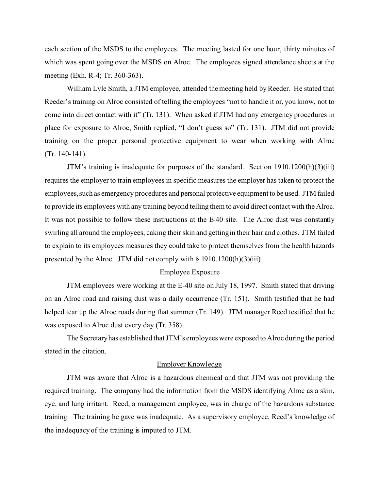each section of the MSDS to the employees. The meeting lasted for one hour, thirty minutes of which was spent going over the MSDS on Alroc. The employees signed attendance sheets at the meeting (Exh. R-4; Tr. 360-363).

William Lyle Smith, a JTM employee, attended the meeting held by Reeder. He stated that Reeder's training on Alroc consisted of telling the employees "not to handle it or, you know, not to come into direct contact with it" (Tr. 131). When asked if JTM had any emergency procedures in place for exposure to Alroc, Smith replied, "I don't guess so" (Tr. 131). JTM did not provide training on the proper personal protective equipment to wear when working with Alroc (Tr. 140-141).

JTM's training is inadequate for purposes of the standard. Section 1910.1200(h)(3)(iii) requires the employer to train employees in specific measures the employer has taken to protect the employees,such as emergency procedures and personal protective equipment to be used. JTM failed to provide its employees with any training beyond telling them to avoid direct contact with the Alroc. It was not possible to follow these instructions at the E-40 site. The Alroc dust was constantly swirling all around the employees, caking their skin and getting in their hair and clothes. JTM failed to explain to its employees measures they could take to protect themselves from the health hazards presented by the Alroc. JTM did not comply with  $\S$  1910.1200(h)(3)(iii)

## Employee Exposure

JTM employees were working at the E-40 site on July 18, 1997. Smith stated that driving on an Alroc road and raising dust was a daily occurrence (Tr. 151). Smith testified that he had helped tear up the Alroc roads during that summer (Tr. 149). JTM manager Reed testified that he was exposed to Alroc dust every day (Tr. 358).

The Secretary has established that JTM's employees were exposed to Alroc during the period stated in the citation.

## Employer Knowledge

JTM was aware that Alroc is a hazardous chemical and that JTM was not providing the required training. The company had the information from the MSDS identifying Alroc as a skin, eye, and lung irritant. Reed, a management employee, was in charge of the hazardous substance training. The training he gave was inadequate. As a supervisory employee, Reed's knowledge of the inadequacy of the training is imputed to JTM.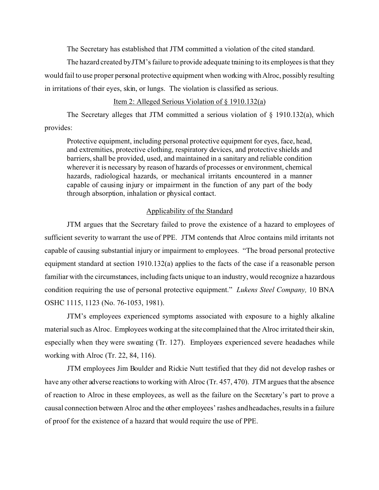The Secretary has established that JTM committed a violation of the cited standard.

The hazard created byJTM's failure to provide adequate training to its employees is that they would fail to use proper personal protective equipment when working with Alroc, possibly resulting in irritations of their eyes, skin, or lungs. The violation is classified as serious.

## Item 2: Alleged Serious Violation of § 1910.132(a)

The Secretary alleges that JTM committed a serious violation of § 1910.132(a), which provides:

Protective equipment, including personal protective equipment for eyes, face, head, and extremities, protective clothing, respiratory devices, and protective shields and barriers, shall be provided, used, and maintained in a sanitary and reliable condition wherever it is necessary by reason of hazards of processes or environment, chemical hazards, radiological hazards, or mechanical irritants encountered in a manner capable of causing injury or impairment in the function of any part of the body through absorption, inhalation or physical contact.

## Applicability of the Standard

JTM argues that the Secretary failed to prove the existence of a hazard to employees of sufficient severity to warrant the use of PPE. JTM contends that Alroc contains mild irritants not capable of causing substantial injury or impairment to employees. "The broad personal protective equipment standard at section 1910.132(a) applies to the facts of the case if a reasonable person familiar with the circumstances, including facts unique to an industry, would recognize a hazardous condition requiring the use of personal protective equipment." *Lukens Steel Company,* 10 BNA OSHC 1115, 1123 (No. 76-1053, 1981).

JTM's employees experienced symptoms associated with exposure to a highly alkaline material such as Alroc. Employees working at the site complained that the Alroc irritated their skin, especially when they were sweating (Tr. 127). Employees experienced severe headaches while working with Alroc (Tr. 22, 84, 116).

JTM employees Jim Boulder and Rickie Nutt testified that they did not develop rashes or have any other adverse reactions to working with Alroc (Tr. 457, 470). JTM argues that the absence of reaction to Alroc in these employees, as well as the failure on the Secretary's part to prove a causal connection between Alroc and the other employees' rashes and headaches, results in a failure of proof for the existence of a hazard that would require the use of PPE.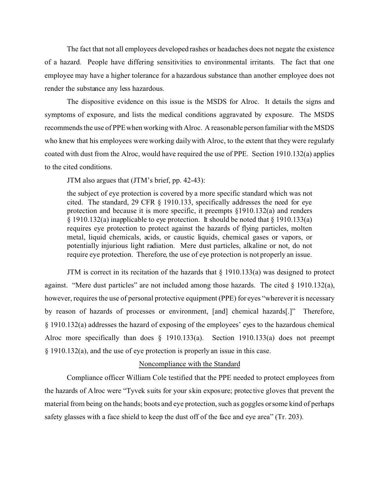The fact that not all employees developed rashes or headaches does not negate the existence of a hazard. People have differing sensitivities to environmental irritants. The fact that one employee may have a higher tolerance for a hazardous substance than another employee does not render the substance any less hazardous.

The dispositive evidence on this issue is the MSDS for Alroc. It details the signs and symptoms of exposure, and lists the medical conditions aggravated by exposure. The MSDS recommends the use of PPE when working with Alroc. A reasonable person familiar with the MSDS who knew that his employees were working daily with Alroc, to the extent that they were regularly coated with dust from the Alroc, would have required the use of PPE. Section 1910.132(a) applies to the cited conditions.

JTM also argues that (JTM's brief, pp. 42-43):

the subject of eye protection is covered by a more specific standard which was not cited. The standard, 29 CFR § 1910.133, specifically addresses the need for eye protection and because it is more specific, it preempts §1910.132(a) and renders § 1910.132(a) inapplicable to eye protection. It should be noted that § 1910.133(a) requires eye protection to protect against the hazards of flying particles, molten metal, liquid chemicals, acids, or caustic liquids, chemical gases or vapors, or potentially injurious light radiation. Mere dust particles, alkaline or not, do not require eye protection. Therefore, the use of eye protection is not properly an issue.

JTM is correct in its recitation of the hazards that  $\S$  1910.133(a) was designed to protect against. "Mere dust particles" are not included among those hazards. The cited § 1910.132(a), however, requires the use of personal protective equipment (PPE) for eyes "wherever it is necessary by reason of hazards of processes or environment, [and] chemical hazards[.]" Therefore, § 1910.132(a) addresses the hazard of exposing of the employees' eyes to the hazardous chemical Alroc more specifically than does § 1910.133(a). Section 1910.133(a) does not preempt § 1910.132(a), and the use of eye protection is properly an issue in this case.

### Noncompliance with the Standard

Compliance officer William Cole testified that the PPE needed to protect employees from the hazards of Alroc were "Tyvek suits for your skin exposure; protective gloves that prevent the material from being on the hands; boots and eye protection, such as goggles or some kind of perhaps safety glasses with a face shield to keep the dust off of the face and eye area" (Tr. 203).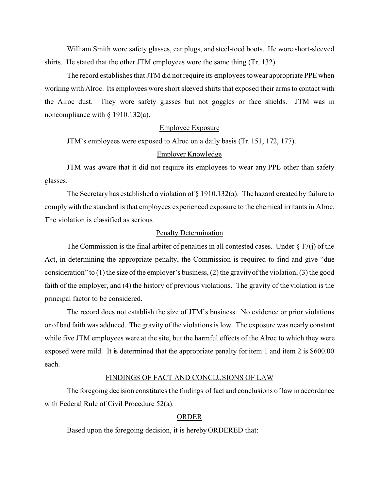William Smith wore safety glasses, ear plugs, and steel-toed boots. He wore short-sleeved shirts. He stated that the other JTM employees wore the same thing (Tr. 132).

The record establishes that JTM did not require its employees towear appropriate PPE when working with Alroc. Its employees wore short sleeved shirts that exposed their arms to contact with the Alroc dust. They wore safety glasses but not goggles or face shields. JTM was in noncompliance with § 1910.132(a).

### Employee Exposure

JTM's employees were exposed to Alroc on a daily basis (Tr. 151, 172, 177).

## Employer Knowledge

JTM was aware that it did not require its employees to wear any PPE other than safety glasses.

The Secretary has established a violation of § 1910.132(a). The hazard created by failure to comply with the standard is that employees experienced exposure to the chemical irritants in Alroc. The violation is classified as serious.

### Penalty Determination

The Commission is the final arbiter of penalties in all contested cases. Under  $\S 17(i)$  of the Act, in determining the appropriate penalty, the Commission is required to find and give "due consideration" to (1) the size of the employer's business, (2) the gravityof the violation, (3) the good faith of the employer, and (4) the history of previous violations. The gravity of the violation is the principal factor to be considered.

The record does not establish the size of JTM's business. No evidence or prior violations or of bad faith was adduced. The gravity of the violations is low. The exposure was nearly constant while five JTM employees were at the site, but the harmful effects of the Alroc to which they were exposed were mild. It is determined that the appropriate penalty for item 1 and item 2 is \$600.00 each.

### FINDINGS OF FACT AND CONCLUSIONS OF LAW

The foregoing decision constitutes the findings of fact and conclusions of law in accordance with Federal Rule of Civil Procedure 52(a).

#### ORDER

Based upon the foregoing decision, it is hereby ORDERED that: